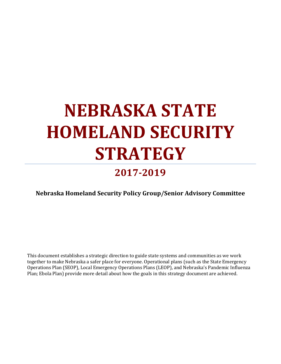# **NEBRASKA STATE HOMELAND SECURITY STRATEGY**

## **2017-2019**

**Nebraska Homeland Security Policy Group/Senior Advisory Committee**

This document establishes a strategic direction to guide state systems and communities as we work together to make Nebraska a safer place for everyone. Operational plans (such as the State Emergency Operations Plan (SEOP), Local Emergency Operations Plans (LEOP), and Nebraska's Pandemic Influenza Plan; Ebola Plan) provide more detail about how the goals in this strategy document are achieved.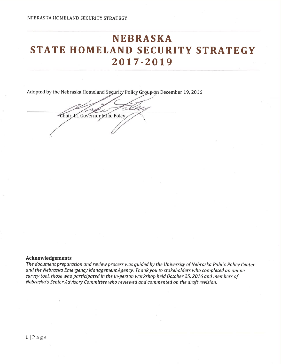# **NEBRASKA** STATE HOMELAND SECURITY STRATEGY 2017-2019

Adopted by the Nebraska Homeland Security Policy Group on December 19, 2016

Chair, Lt. Governor Mike Foley

#### **Acknowledgements**

The document preparation and review process was guided by the University of Nebraska Public Policy Center and the Nebraska Emergency Management Agency. Thank you to stakeholders who completed an online survey tool, those who participated in the in-person workshop held October 25, 2016 and members of Nebraska's Senior Advisory Committee who reviewed and commented on the draft revision.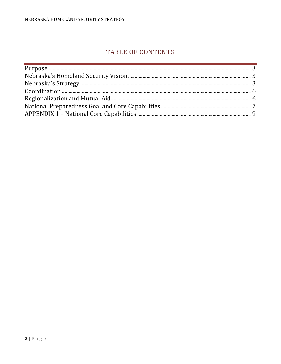## TABLE OF CONTENTS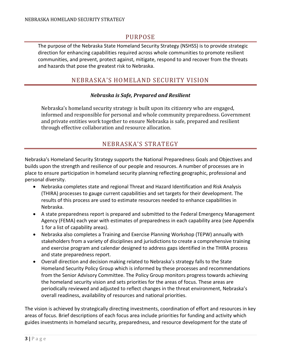## PURPOSE

<span id="page-3-0"></span>The purpose of the Nebraska State Homeland Security Strategy (NSHSS) is to provide strategic direction for enhancing capabilities required across whole communities to promote resilient communities, and prevent, protect against, mitigate, respond to and recover from the threats and hazards that pose the greatest risk to Nebraska.

## NEBRASKA'S HOMELAND SECURITY VISION

## *Nebraska is Safe, Prepared and Resilient*

<span id="page-3-1"></span>Nebraska's homeland security strategy is built upon its citizenry who are engaged, informed and responsible for personal and whole community preparedness. Government and private entities work together to ensure Nebraska is safe, prepared and resilient through effective collaboration and resource allocation.

## NEBRASKA'S STRATEGY

<span id="page-3-2"></span>Nebraska's Homeland Security Strategy supports the National Preparedness Goals and Objectives and builds upon the strength and resilience of our people and resources. A number of processes are in place to ensure participation in homeland security planning reflecting geographic, professional and personal diversity.

- Nebraska completes state and regional Threat and Hazard Identification and Risk Analysis (THIRA) processes to gauge current capabilities and set targets for their development. The results of this process are used to estimate resources needed to enhance capabilities in Nebraska.
- A state preparedness report is prepared and submitted to the Federal Emergency Management Agency (FEMA) each year with estimates of preparedness in each capability area (see Appendix 1 for a list of capability areas).
- Nebraska also completes a Training and Exercise Planning Workshop (TEPW) annually with stakeholders from a variety of disciplines and jurisdictions to create a comprehensive training and exercise program and calendar designed to address gaps identified in the THIRA process and state preparedness report.
- Overall direction and decision making related to Nebraska's strategy falls to the State Homeland Security Policy Group which is informed by these processes and recommendations from the Senior Advisory Committee. The Policy Group monitors progress towards achieving the homeland security vision and sets priorities for the areas of focus. These areas are periodically reviewed and adjusted to reflect changes in the threat environment, Nebraska's overall readiness, availability of resources and national priorities.

The vision is achieved by strategically directing investments, coordination of effort and resources in key areas of focus. Brief descriptions of each focus area include priorities for funding and activity which guides investments in homeland security, preparedness, and resource development for the state of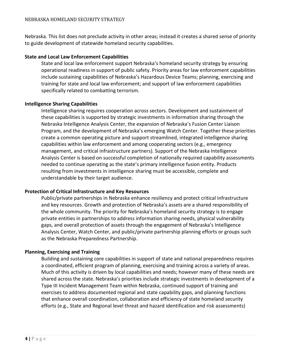Nebraska. This list does not preclude activity in other areas; instead it creates a shared sense of priority to guide development of statewide homeland security capabilities.

## **State and Local Law Enforcement Capabilities**

State and local law enforcement support Nebraska's homeland security strategy by ensuring operational readiness in support of public safety. Priority areas for law enforcement capabilities include sustaining capabilities of Nebraska's Hazardous Device Teams; planning, exercising and training for state and local law enforcement; and support of law enforcement capabilities specifically related to combatting terrorism.

## **Intelligence Sharing Capabilities**

Intelligence sharing requires cooperation across sectors. Development and sustainment of these capabilities is supported by strategic investments in information sharing through the Nebraska Intelligence Analysis Center, the expansion of Nebraska's Fusion Center Liaison Program, and the development of Nebraska's emerging Watch Center. Together these priorities create a common operating picture and support streamlined, integrated intelligence sharing capabilities within law enforcement and among cooperating sectors (e.g., emergency management, and critical infrastructure partners). Support of the Nebraska Intelligence Analysis Center is based on successful completion of nationally required capability assessments needed to continue operating as the state's primary intelligence fusion entity. Products resulting from investments in intelligence sharing must be accessible, complete and understandable by their target audience.

## **Protection of Critical Infrastructure and Key Resources**

Public/private partnerships in Nebraska enhance resiliency and protect critical infrastructure and key resources. Growth and protection of Nebraska's assets are a shared responsibility of the whole community. The priority for Nebraska's homeland security strategy is to engage private entities in partnerships to address information sharing needs, physical vulnerability gaps, and overall protection of assets through the engagement of Nebraska's Intelligence Analysis Center, Watch Center, and public/private partnership planning efforts or groups such as the Nebraska Preparedness Partnership.

## **Planning, Exercising and Training**

Building and sustaining core capabilities in support of state and national preparedness requires a coordinated, efficient program of planning, exercising and training across a variety of areas. Much of this activity is driven by local capabilities and needs; however many of these needs are shared across the state. Nebraska's priorities include strategic investments in development of a Type III Incident Management Team within Nebraska, continued support of training and exercises to address documented regional and state capability gaps, and planning functions that enhance overall coordination, collaboration and efficiency of state homeland security efforts (e.g., State and Regional level threat and hazard identification and risk assessments)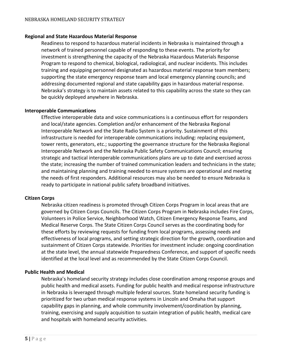#### **Regional and State Hazardous Material Response**

Readiness to respond to hazardous material incidents in Nebraska is maintained through a network of trained personnel capable of responding to these events. The priority for investment is strengthening the capacity of the Nebraska Hazardous Materials Response Program to respond to chemical, biological, radiological, and nuclear incidents. This includes training and equipping personnel designated as hazardous material response team members; supporting the state emergency response team and local emergency planning councils; and addressing documented regional and state capability gaps in hazardous material response. Nebraska's strategy is to maintain assets related to this capability across the state so they can be quickly deployed anywhere in Nebraska.

## **Interoperable Communications**

Effective interoperable data and voice communications is a continuous effort for responders and local/state agencies. Completion and/or enhancement of the Nebraska Regional Interoperable Network and the State Radio System is a priority. Sustainment of this infrastructure is needed for interoperable communications including: replacing equipment, tower rents, generators, etc.; supporting the governance structure for the Nebraska Regional Interoperable Network and the Nebraska Public Safety Communications Council; ensuring strategic and tactical interoperable communications plans are up to date and exercised across the state; increasing the number of trained communication leaders and technicians in the state; and maintaining planning and training needed to ensure systems are operational and meeting the needs of first responders. Additional resources may also be needed to ensure Nebraska is ready to participate in national public safety broadband initiatives.

## **Citizen Corps**

Nebraska citizen readiness is promoted through Citizen Corps Program in local areas that are governed by Citizen Corps Councils. The Citizen Corps Program in Nebraska includes Fire Corps, Volunteers in Police Service, Neighborhood Watch, Citizen Emergency Response Teams, and Medical Reserve Corps. The State Citizen Corps Council serves as the coordinating body for these efforts by reviewing requests for funding from local programs, assessing needs and effectiveness of local programs, and setting strategic direction for the growth, coordination and sustainment of Citizen Corps statewide. Priorities for investment include: ongoing coordination at the state level, the annual statewide Preparedness Conference, and support of specific needs identified at the local level and as recommended by the State Citizen Corps Council.

## **Public Health and Medical**

Nebraska's homeland security strategy includes close coordination among response groups and public health and medical assets. Funding for public health and medical response infrastructure in Nebraska is leveraged through multiple federal sources. State homeland security funding is prioritized for two urban medical response systems in Lincoln and Omaha that support capability gaps in planning, and whole community involvement/coordination by planning, training, exercising and supply acquisition to sustain integration of public health, medical care and hospitals with homeland security activities.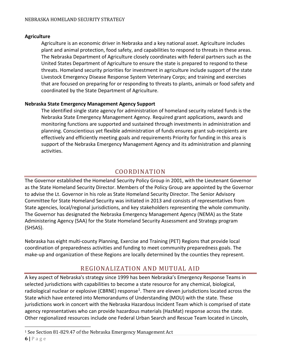## **Agriculture**

Agriculture is an economic driver in Nebraska and a key national asset. Agriculture includes plant and animal protection, food safety, and capabilities to respond to threats in these areas. The Nebraska Department of Agriculture closely coordinates with federal partners such as the United States Department of Agriculture to ensure the state is prepared to respond to these threats. Homeland security priorities for investment in agriculture include support of the state Livestock Emergency Disease Response System Veterinary Corps; and training and exercises that are focused on preparing for or responding to threats to plants, animals or food safety and coordinated by the State Department of Agriculture.

## **Nebraska State Emergency Management Agency Support**

The identified single state agency for administration of homeland security related funds is the Nebraska State Emergency Management Agency. Required grant applications, awards and monitoring functions are supported and sustained through investments in administration and planning. Conscientious yet flexible administration of funds ensures grant sub-recipients are effectively and efficiently meeting goals and requirements Priority for funding in this area is support of the Nebraska Emergency Management Agency and its administration and planning activities.

## COORDINATION

<span id="page-6-0"></span>The Governor established the Homeland Security Policy Group in 2001, with the Lieutenant Governor as the State Homeland Security Director. Members of the Policy Group are appointed by the Governor to advise the Lt. Governor in his role as State Homeland Security Director. The Senior Advisory Committee for State Homeland Security was initiated in 2013 and consists of representatives from State agencies, local/regional jurisdictions, and key stakeholders representing the whole community. The Governor has designated the Nebraska Emergency Management Agency (NEMA) as the State Administering Agency (SAA) for the State Homeland Security Assessment and Strategy program (SHSAS).

Nebraska has eight multi-county Planning, Exercise and Training (PET) Regions that provide local coordination of preparedness activities and funding to meet community preparedness goals. The make-up and organization of these Regions are locally determined by the counties they represent.

## REGIONALIZATION AND MUTUAL AID

<span id="page-6-1"></span>A key aspect of Nebraska's strategy since 1999 has been Nebraska's Emergency Response Teams in selected jurisdictions with capabilities to become a state resource for any chemical, biological, radiological nuclear or explosive (CBRNE) response<sup>1</sup>. There are eleven jurisdictions located across the State which have entered into Memorandums of Understanding (MOU) with the state. These jurisdictions work in concert with the Nebraska Hazardous Incident Team which is comprised of state agency representatives who can provide hazardous materials (HazMat) response across the state. Other regionalized resources include one Federal Urban Search and Rescue Team located in Lincoln,

<span id="page-6-2"></span>1 See Section 81-829.47 of the Nebraska Emergency Management Act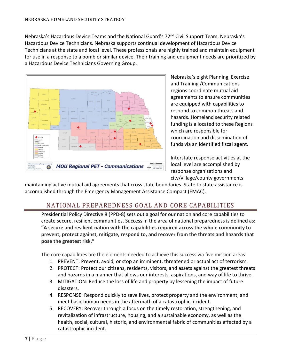Nebraska's Hazardous Device Teams and the National Guard's 72<sup>nd</sup> Civil Support Team. Nebraska's Hazardous Device Technicians. Nebraska supports continual development of Hazardous Device Technicians at the state and local level. These professionals are highly trained and maintain equipment for use in a response to a bomb or similar device. Their training and equipment needs are prioritized by a Hazardous Device Technicians Governing Group.



Nebraska's eight Planning, Exercise and Training /Communications regions coordinate mutual aid agreements to ensure communities are equipped with capabilities to respond to common threats and hazards. Homeland security related funding is allocated to these Regions which are responsible for coordination and dissemination of funds via an identified fiscal agent.

Interstate response activities at the local level are accomplished by response organizations and city/village/county governments

<span id="page-7-0"></span>maintaining active mutual aid agreements that cross state boundaries. State to state assistance is accomplished through the Emergency Management Assistance Compact (EMAC).

## NATIONAL PREPAREDNESS GOAL AND CORE CAPABILITIES

Presidential Policy Directive 8 (PPD-8) sets out a goal for our nation and core capabilities to create secure, resilient communities. Success in the area of national preparedness is defined as: **"A secure and resilient nation with the capabilities required across the whole community to prevent, protect against, mitigate, respond to, and recover from the threats and hazards that pose the greatest risk."**

The core capabilities are the elements needed to achieve this success via five mission areas:

- 1. PREVENT: Prevent, avoid, or stop an imminent, threatened or actual act of terrorism.
- 2. PROTECT: Protect our citizens, residents, visitors, and assets against the greatest threats and hazards in a manner that allows our interests, aspirations, and way of life to thrive.
- 3. MITIGATION: Reduce the loss of life and property by lessening the impact of future disasters.
- 4. RESPONSE: Respond quickly to save lives, protect property and the environment, and meet basic human needs in the aftermath of a catastrophic incident.
- 5. RECOVERY: Recover through a focus on the timely restoration, strengthening, and revitalization of infrastructure, housing, and a sustainable economy, as well as the health, social, cultural, historic, and environmental fabric of communities affected by a catastrophic incident.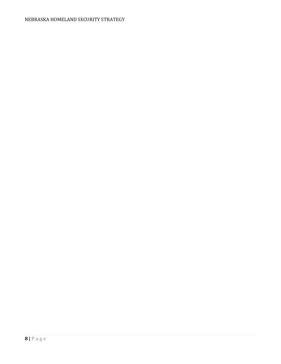## NEBRASKA HOMELAND SECURITY STRATEGY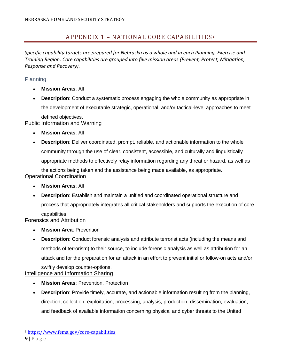## APPENDIX 1 – NATIONAL CORE CAPABILITIES [2](#page-9-1)

<span id="page-9-0"></span>*Specific capability targets are prepared for Nebraska as a whole and in each Planning, Exercise and Training Region. Core capabilities are grouped into five mission areas (Prevent, Protect, Mitigation, Response and Recovery).*

## Planning

- **Mission Areas**: All
- **Description**: Conduct a systematic process engaging the whole community as appropriate in the development of executable strategic, operational, and/or tactical-level approaches to meet defined objectives.

## Public Information and Warning

- **Mission Areas**: All
- **Description:** Deliver coordinated, prompt, reliable, and actionable information to the whole community through the use of clear, consistent, accessible, and culturally and linguistically appropriate methods to effectively relay information regarding any threat or hazard, as well as the actions being taken and the assistance being made available, as appropriate.

## Operational Coordination

- **Mission Areas**: All
- **Description**: Establish and maintain a unified and coordinated operational structure and process that appropriately integrates all critical stakeholders and supports the execution of core capabilities.

## Forensics and Attribution

- **Mission Area**: Prevention
- **Description**: Conduct forensic analysis and attribute terrorist acts (including the means and methods of terrorism) to their source, to include forensic analysis as well as attribution for an attack and for the preparation for an attack in an effort to prevent initial or follow-on acts and/or

swiftly develop counter-options. Intelligence and Information Sharing

- **Mission Areas**: Prevention, Protection
- **Description**: Provide timely, accurate, and actionable information resulting from the planning, direction, collection, exploitation, processing, analysis, production, dissemination, evaluation, and feedback of available information concerning physical and cyber threats to the United

<span id="page-9-1"></span> <sup>2</sup> <https://www.fema.gov/core-capabilities>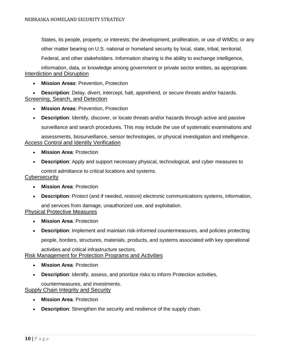States, its people, property, or interests; the development, proliferation, or use of WMDs; or any other matter bearing on U.S. national or homeland security by local, state, tribal, territorial,

Federal, and other stakeholders. Information sharing is the ability to exchange intelligence,

information, data, or knowledge among government or private sector entities, as appropriate. Interdiction and Disruption

• **Mission Areas**: Prevention, Protection

• **Description**: Delay, divert, intercept, halt, apprehend, or secure threats and/or hazards. Screening, Search, and Detection

- **Mission Areas**: Prevention, Protection
- **Description**: Identify, discover, or locate threats and/or hazards through active and passive surveillance and search procedures. This may include the use of systematic examinations and

assessments, biosurveillance, sensor technologies, or physical investigation and intelligence. Access Control and Identity Verification

- **Mission Area**: Protection
- **Description**: Apply and support necessary physical, technological, and cyber measures to

control admittance to critical locations and systems.

#### **Cybersecurity**

- **Mission Area**: Protection
- **Description**: Protect (and if needed, restore) electronic communications systems, information,

and services from damage, unauthorized use, and exploitation.

## Physical Protective Measures

- **Mission Area**: Protection
- **Description**: Implement and maintain risk-informed countermeasures, and policies protecting people, borders, structures, materials, products, and systems associated with key operational

activities and critical infrastructure sectors. Risk Management for Protection Programs and Activities

- **Mission Area**: Protection
- **Description:** Identify, assess, and prioritize risks to inform Protection activities,

countermeasures, and investments. Supply Chain Integrity and Security

- **Mission Area: Protection**
- **Description:** Strengthen the security and resilience of the supply chain.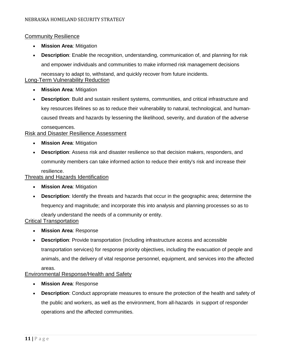## Community Resilience

- **Mission Area**: Mitigation
- **Description**: Enable the recognition, understanding, communication of, and planning for risk and empower individuals and communities to make informed risk management decisions

necessary to adapt to, withstand, and quickly recover from future incidents. Long-Term Vulnerability Reduction

- **Mission Area**: Mitigation
- **Description**: Build and sustain resilient systems, communities, and critical infrastructure and key resources lifelines so as to reduce their vulnerability to natural, technological, and humancaused threats and hazards by lessening the likelihood, severity, and duration of the adverse

#### consequences.

## Risk and Disaster Resilience Assessment

- **Mission Area: Mitigation**
- **Description**: Assess risk and disaster resilience so that decision makers, responders, and community members can take informed action to reduce their entity's risk and increase their resilience.

## Threats and Hazards Identification

- **Mission Area**: Mitigation
- **Description:** Identify the threats and hazards that occur in the geographic area; determine the frequency and magnitude; and incorporate this into analysis and planning processes so as to

clearly understand the needs of a community or entity.

## Critical Transportation

- **Mission Area**: Response
- **Description**: Provide transportation (including infrastructure access and accessible transportation services) for response priority objectives, including the evacuation of people and animals, and the delivery of vital response personnel, equipment, and services into the affected areas.

## Environmental Response/Health and Safety

- **Mission Area**: Response
- **Description**: Conduct appropriate measures to ensure the protection of the health and safety of the public and workers, as well as the environment, from all-hazards in support of responder operations and the affected communities.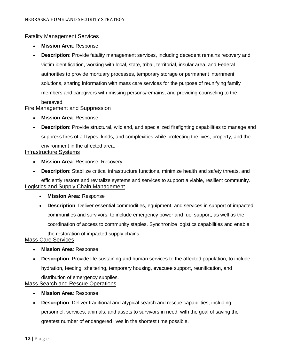## Fatality Management Services

- **Mission Area**: Response
- **Description**: Provide fatality management services, including decedent remains recovery and victim identification, working with local, state, tribal, territorial, insular area, and Federal authorities to provide mortuary processes, temporary storage or permanent internment solutions, sharing information with mass care services for the purpose of reunifying family members and caregivers with missing persons/remains, and providing counseling to the bereaved.

## Fire Management and Suppression

- **Mission Area**: Response
- **Description**: Provide structural, wildland, and specialized firefighting capabilities to manage and suppress fires of all types, kinds, and complexities while protecting the lives, property, and the

environment in the affected area. Infrastructure Systems

- **Mission Area**: Response, Recovery
- **Description**: Stabilize critical infrastructure functions, minimize health and safety threats, and

efficiently restore and revitalize systems and services to support a viable, resilient community. Logistics and Supply Chain Management

- **Mission Area:** Response
- **Description**: Deliver essential commodities, equipment, and services in support of impacted communities and survivors, to include emergency power and fuel support, as well as the coordination of access to community staples. Synchronize logistics capabilities and enable the restoration of impacted supply chains.

## Mass Care Services

- **Mission Area**: Response
- **Description**: Provide life-sustaining and human services to the affected population, to include hydration, feeding, sheltering, temporary housing, evacuee support, reunification, and

#### distribution of emergency supplies. Mass Search and Rescue Operations

- **Mission Area**: Response
- **Description**: Deliver traditional and atypical search and rescue capabilities, including personnel, services, animals, and assets to survivors in need, with the goal of saving the greatest number of endangered lives in the shortest time possible.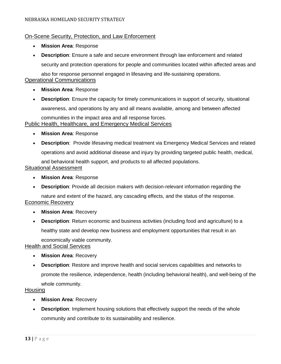#### NEBRASKA HOMELAND SECURITY STRATEGY

## On-Scene Security, Protection, and Law Enforcement

- **Mission Area**: Response
- **Description**: Ensure a safe and secure environment through law enforcement and related security and protection operations for people and communities located within affected areas and

also for response personnel engaged in lifesaving and life-sustaining operations.

## Operational Communications

- **Mission Area**: Response
- **Description**: Ensure the capacity for timely communications in support of security, situational

awareness, and operations by any and all means available, among and between affected

communities in the impact area and all response forces. Public Health, Healthcare, and Emergency Medical Services

- **Mission Area**: Response
- **Description**: Provide lifesaving medical treatment via Emergency Medical Services and related operations and avoid additional disease and injury by providing targeted public health, medical,

and behavioral health support, and products to all affected populations. Situational Assessment

- **Mission Area**: Response
- **Description**: Provide all decision makers with decision-relevant information regarding the

nature and extent of the hazard, any cascading effects, and the status of the response. Economic Recovery

- **Mission Area**: Recovery
- **Description**: Return economic and business activities (including food and agriculture) to a healthy state and develop new business and employment opportunities that result in an

economically viable community.

## Health and Social Services

- **Mission Area**: Recovery
- **Description**: Restore and improve health and social services capabilities and networks to promote the resilience, independence, health (including behavioral health), and well-being of the whole community.

## Housing

- **Mission Area**: Recovery
- **Description:** Implement housing solutions that effectively support the needs of the whole community and contribute to its sustainability and resilience.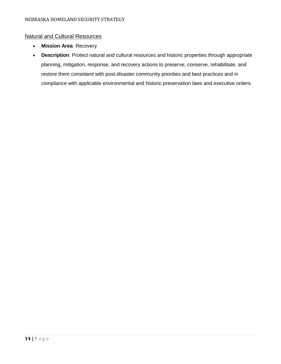## Natural and Cultural Resources

- **Mission Area**: Recovery
- **Description**: Protect natural and cultural resources and historic properties through appropriate planning, mitigation, response, and recovery actions to preserve, conserve, rehabilitate, and restore them consistent with post-disaster community priorities and best practices and in compliance with applicable environmental and historic preservation laws and executive orders.